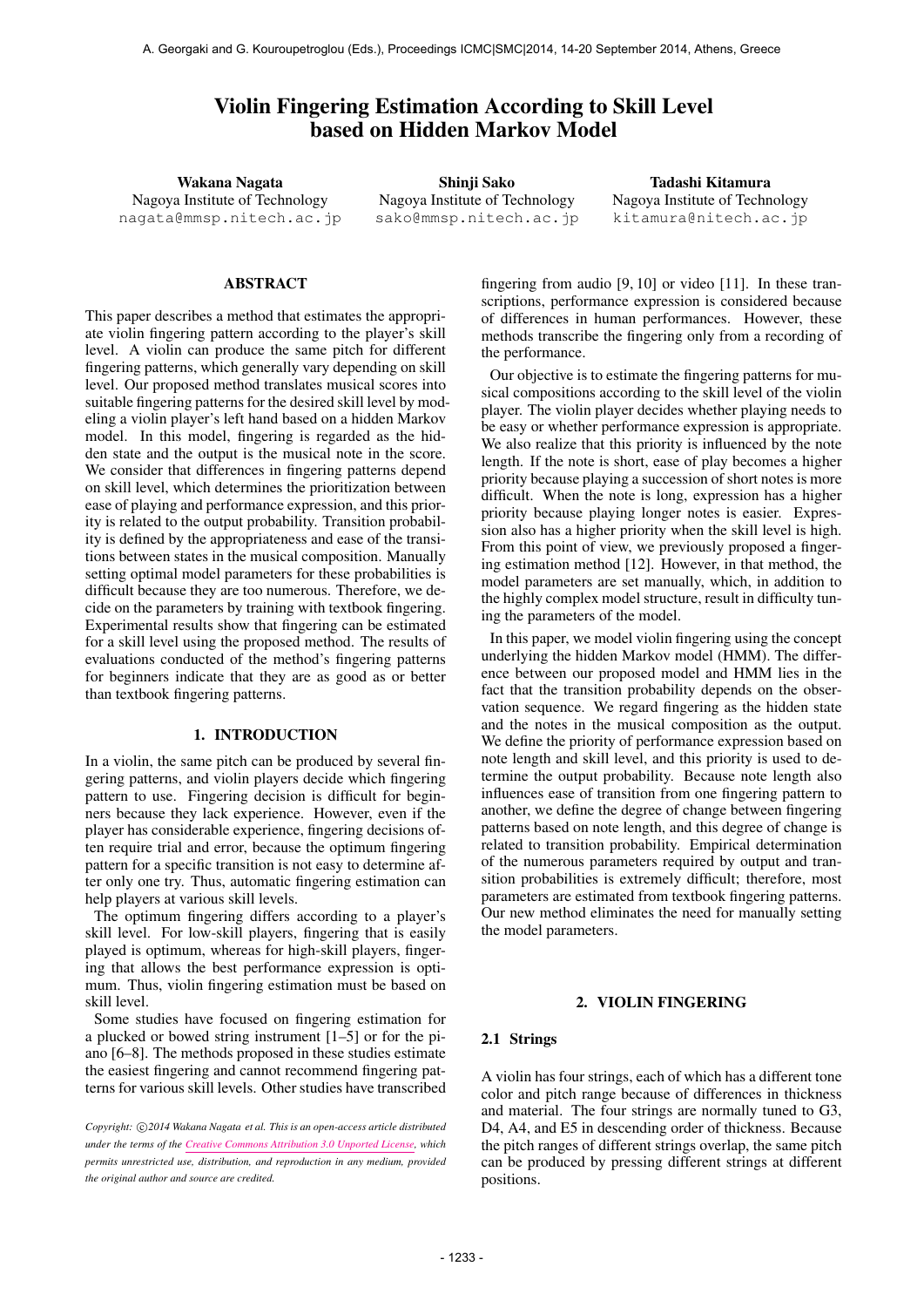# Violin Fingering Estimation According to Skill Level based on Hidden Markov Model

Wakana Nagata Nagoya Institute of Technology nagata@mmsp.nitech.ac.jp

Shinji Sako Nagoya Institute of Technology sako@mmsp.nitech.ac.jp

Tadashi Kitamura Nagoya Institute of Technology kitamura@nitech.ac.jp

## ABSTRACT

This paper describes a method that estimates the appropriate violin fingering pattern according to the player's skill level. A violin can produce the same pitch for different fingering patterns, which generally vary depending on skill level. Our proposed method translates musical scores into suitable fingering patterns for the desired skill level by modeling a violin player's left hand based on a hidden Markov model. In this model, fingering is regarded as the hidden state and the output is the musical note in the score. We consider that differences in fingering patterns depend on skill level, which determines the prioritization between ease of playing and performance expression, and this priority is related to the output probability. Transition probability is defined by the appropriateness and ease of the transitions between states in the musical composition. Manually setting optimal model parameters for these probabilities is difficult because they are too numerous. Therefore, we decide on the parameters by training with textbook fingering. Experimental results show that fingering can be estimated for a skill level using the proposed method. The results of evaluations conducted of the method's fingering patterns for beginners indicate that they are as good as or better than textbook fingering patterns.

### 1. INTRODUCTION

In a violin, the same pitch can be produced by several fingering patterns, and violin players decide which fingering pattern to use. Fingering decision is difficult for beginners because they lack experience. However, even if the player has considerable experience, fingering decisions often require trial and error, because the optimum fingering pattern for a specific transition is not easy to determine after only one try. Thus, automatic fingering estimation can help players at various skill levels.

The optimum fingering differs according to a player's skill level. For low-skill players, fingering that is easily played is optimum, whereas for high-skill players, fingering that allows the best performance expression is optimum. Thus, violin fingering estimation must be based on skill level.

Some studies have focused on fingering estimation for a plucked or bowed string instrument [1–5] or for the piano [6–8]. The methods proposed in these studies estimate the easiest fingering and cannot recommend fingering patterns for various skill levels. Other studies have transcribed

fingering from audio [9, 10] or video [11]. In these transcriptions, performance expression is considered because of differences in human performances. However, these methods transcribe the fingering only from a recording of the performance.

Our objective is to estimate the fingering patterns for musical compositions according to the skill level of the violin player. The violin player decides whether playing needs to be easy or whether performance expression is appropriate. We also realize that this priority is influenced by the note length. If the note is short, ease of play becomes a higher priority because playing a succession of short notes is more difficult. When the note is long, expression has a higher priority because playing longer notes is easier. Expression also has a higher priority when the skill level is high. From this point of view, we previously proposed a fingering estimation method [12]. However, in that method, the model parameters are set manually, which, in addition to the highly complex model structure, result in difficulty tuning the parameters of the model.

In this paper, we model violin fingering using the concept underlying the hidden Markov model (HMM). The difference between our proposed model and HMM lies in the fact that the transition probability depends on the observation sequence. We regard fingering as the hidden state and the notes in the musical composition as the output. We define the priority of performance expression based on note length and skill level, and this priority is used to determine the output probability. Because note length also influences ease of transition from one fingering pattern to another, we define the degree of change between fingering patterns based on note length, and this degree of change is related to transition probability. Empirical determination of the numerous parameters required by output and transition probabilities is extremely difficult; therefore, most parameters are estimated from textbook fingering patterns. Our new method eliminates the need for manually setting the model parameters.

## 2. VIOLIN FINGERING

### 2.1 Strings

A violin has four strings, each of which has a different tone color and pitch range because of differences in thickness and material. The four strings are normally tuned to G3, D4, A4, and E5 in descending order of thickness. Because the pitch ranges of different strings overlap, the same pitch can be produced by pressing different strings at different positions.

*Copyright: ⃝*c *2014 Wakana Nagata et al. This is an open-access article distributed under the terms of the Creative Commons Attribution 3.0 Unported License, which permits unrestricted use, distribution, and reproduction in any medium, provided the original author and source are credited.*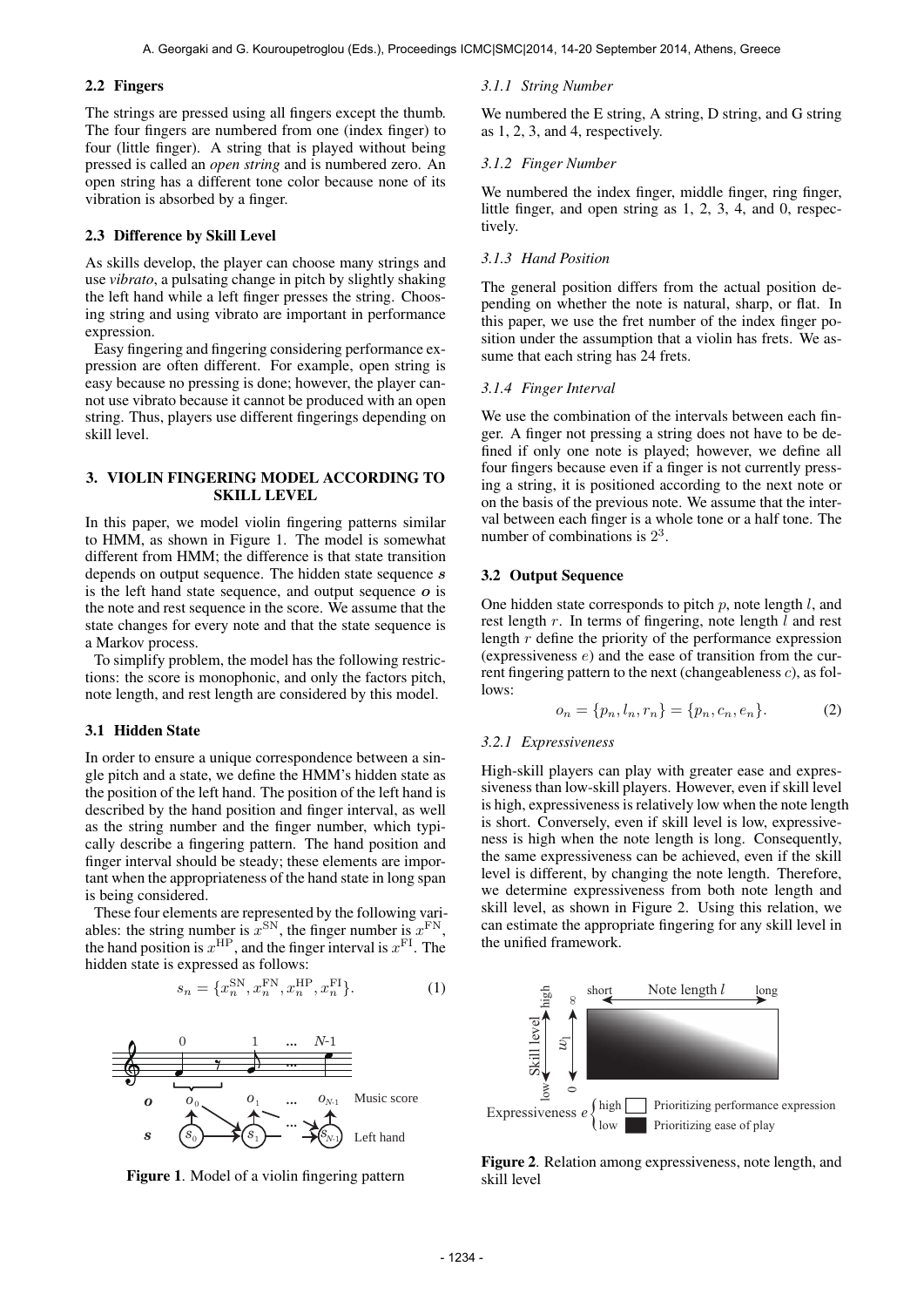## 2.2 Fingers

The strings are pressed using all fingers except the thumb. The four fingers are numbered from one (index finger) to four (little finger). A string that is played without being pressed is called an *open string* and is numbered zero. An open string has a different tone color because none of its vibration is absorbed by a finger.

## 2.3 Difference by Skill Level

As skills develop, the player can choose many strings and use *vibrato*, a pulsating change in pitch by slightly shaking the left hand while a left finger presses the string. Choosing string and using vibrato are important in performance expression.

Easy fingering and fingering considering performance expression are often different. For example, open string is easy because no pressing is done; however, the player cannot use vibrato because it cannot be produced with an open string. Thus, players use different fingerings depending on skill level.

## 3. VIOLIN FINGERING MODEL ACCORDING TO SKILL LEVEL

In this paper, we model violin fingering patterns similar to HMM, as shown in Figure 1. The model is somewhat different from HMM; the difference is that state transition depends on output sequence. The hidden state sequence *s* is the left hand state sequence, and output sequence *o* is the note and rest sequence in the score. We assume that the state changes for every note and that the state sequence is a Markov process.

To simplify problem, the model has the following restrictions: the score is monophonic, and only the factors pitch, note length, and rest length are considered by this model.

#### 3.1 Hidden State

In order to ensure a unique correspondence between a single pitch and a state, we define the HMM's hidden state as the position of the left hand. The position of the left hand is described by the hand position and finger interval, as well as the string number and the finger number, which typically describe a fingering pattern. The hand position and finger interval should be steady; these elements are important when the appropriateness of the hand state in long span is being considered.

These four elements are represented by the following variables: the string number is  $x^{\text{SN}}$ , the finger number is  $x^{\text{FN}}$ , the hand position is  $x^{\text{HP}}$ , and the finger interval is  $x^{\text{FI}}$ . The hidden state is expressed as follows:

$$
s_n = \{x_n^{\text{SN}}, x_n^{\text{FN}}, x_n^{\text{HP}}, x_n^{\text{FI}}\}.
$$
 (1)





#### *3.1.1 String Number*

We numbered the E string, A string, D string, and G string as 1, 2, 3, and 4, respectively.

### *3.1.2 Finger Number*

We numbered the index finger, middle finger, ring finger, little finger, and open string as 1, 2, 3, 4, and 0, respectively.

#### *3.1.3 Hand Position*

The general position differs from the actual position depending on whether the note is natural, sharp, or flat. In this paper, we use the fret number of the index finger position under the assumption that a violin has frets. We assume that each string has 24 frets.

## *3.1.4 Finger Interval*

We use the combination of the intervals between each finger. A finger not pressing a string does not have to be defined if only one note is played; however, we define all four fingers because even if a finger is not currently pressing a string, it is positioned according to the next note or on the basis of the previous note. We assume that the interval between each finger is a whole tone or a half tone. The number of combinations is  $2<sup>3</sup>$ .

## 3.2 Output Sequence

One hidden state corresponds to pitch *p*, note length *l*, and rest length *r*. In terms of fingering, note length *l* and rest length *r* define the priority of the performance expression (expressiveness *e*) and the ease of transition from the current fingering pattern to the next (changeableness *c*), as follows:

$$
o_n = \{p_n, l_n, r_n\} = \{p_n, c_n, e_n\}.
$$
 (2)

## *3.2.1 Expressiveness*

High-skill players can play with greater ease and expressiveness than low-skill players. However, even if skill level is high, expressiveness is relatively low when the note length is short. Conversely, even if skill level is low, expressiveness is high when the note length is long. Consequently, the same expressiveness can be achieved, even if the skill level is different, by changing the note length. Therefore, we determine expressiveness from both note length and skill level, as shown in Figure 2. Using this relation, we can estimate the appropriate fingering for any skill level in the unified framework.



Figure 2. Relation among expressiveness, note length, and skill level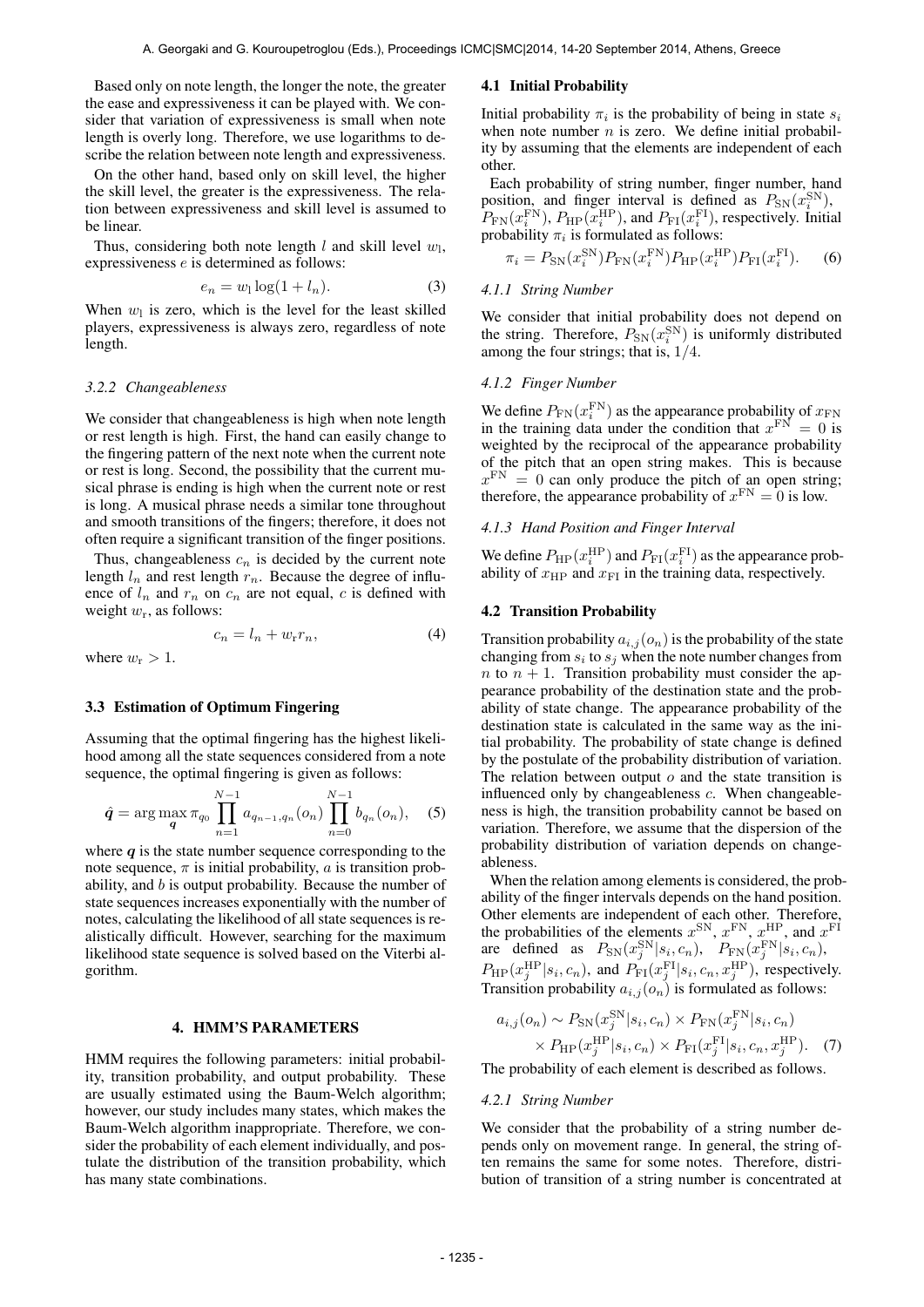Based only on note length, the longer the note, the greater the ease and expressiveness it can be played with. We consider that variation of expressiveness is small when note length is overly long. Therefore, we use logarithms to describe the relation between note length and expressiveness.

On the other hand, based only on skill level, the higher the skill level, the greater is the expressiveness. The relation between expressiveness and skill level is assumed to be linear.

Thus, considering both note length  $l$  and skill level  $w_l$ , expressiveness *e* is determined as follows:

$$
e_n = w_1 \log(1 + l_n). \tag{3}
$$

When  $w_l$  is zero, which is the level for the least skilled players, expressiveness is always zero, regardless of note length.

### *3.2.2 Changeableness*

We consider that changeableness is high when note length or rest length is high. First, the hand can easily change to the fingering pattern of the next note when the current note or rest is long. Second, the possibility that the current musical phrase is ending is high when the current note or rest is long. A musical phrase needs a similar tone throughout and smooth transitions of the fingers; therefore, it does not often require a significant transition of the finger positions.

Thus, changeableness  $c_n$  is decided by the current note length  $l_n$  and rest length  $r_n$ . Because the degree of influence of  $l_n$  and  $r_n$  on  $c_n$  are not equal,  $c$  is defined with weight  $w_r$ , as follows:

$$
c_n = l_n + w_r r_n,\tag{4}
$$

where  $w_r > 1$ .

### 3.3 Estimation of Optimum Fingering

Assuming that the optimal fingering has the highest likelihood among all the state sequences considered from a note sequence, the optimal fingering is given as follows:

$$
\hat{q} = \arg \max_{\boldsymbol{q}} \pi_{q_0} \prod_{n=1}^{N-1} a_{q_{n-1},q_n}(o_n) \prod_{n=0}^{N-1} b_{q_n}(o_n), \quad (5)
$$

where  $q$  is the state number sequence corresponding to the note sequence,  $\pi$  is initial probability,  $\alpha$  is transition probability, and *b* is output probability. Because the number of state sequences increases exponentially with the number of notes, calculating the likelihood of all state sequences is realistically difficult. However, searching for the maximum likelihood state sequence is solved based on the Viterbi algorithm.

## 4. HMM'S PARAMETERS

HMM requires the following parameters: initial probability, transition probability, and output probability. These are usually estimated using the Baum-Welch algorithm; however, our study includes many states, which makes the Baum-Welch algorithm inappropriate. Therefore, we consider the probability of each element individually, and postulate the distribution of the transition probability, which has many state combinations.

## 4.1 Initial Probability

Initial probability  $\pi_i$  is the probability of being in state  $s_i$ when note number  $n$  is zero. We define initial probability by assuming that the elements are independent of each other.

Each probability of string number, finger number, hand position, and finger interval is defined as  $P_{SN}(x_i^{SN})$ ,  $P_{\text{FN}}(x_i^{\text{FN}})$ ,  $P_{\text{HP}}(x_i^{\text{HP}})$ , and  $P_{\text{FI}}(x_i^{\text{FI}})$ , respectively. Initial probability  $\pi_i$  is formulated as follows:

$$
\pi_i = P_{\rm SN}(x_i^{\rm SN}) P_{\rm FN}(x_i^{\rm FN}) P_{\rm HP}(x_i^{\rm HP}) P_{\rm FI}(x_i^{\rm FI}). \tag{6}
$$

### *4.1.1 String Number*

We consider that initial probability does not depend on the string. Therefore,  $P_{SN}(x_i^{SN})$  is uniformly distributed among the four strings; that is, 1*/*4.

## *4.1.2 Finger Number*

We define  $P_{FN}(x_i^{\text{FN}})$  as the appearance probability of  $x_{\text{FN}}$ in the training data under the condition that  $x^{\text{FN}} = 0$  is weighted by the reciprocal of the appearance probability of the pitch that an open string makes. This is because  $x<sup>FN</sup> = 0$  can only produce the pitch of an open string; therefore, the appearance probability of  $x^{\text{FN}} = 0$  is low.

## *4.1.3 Hand Position and Finger Interval*

We define  $P_{\text{HP}}(x_i^{\text{HP}})$  and  $P_{\text{FI}}(x_i^{\text{FI}})$  as the appearance probability of  $x_{\text{HP}}$  and  $x_{\text{FI}}$  in the training data, respectively.

## 4.2 Transition Probability

Transition probability  $a_{i,j}(o_n)$  is the probability of the state changing from  $s_i$  to  $s_j$  when the note number changes from *n* to  $n + 1$ . Transition probability must consider the appearance probability of the destination state and the probability of state change. The appearance probability of the destination state is calculated in the same way as the initial probability. The probability of state change is defined by the postulate of the probability distribution of variation. The relation between output *o* and the state transition is influenced only by changeableness *c*. When changeableness is high, the transition probability cannot be based on variation. Therefore, we assume that the dispersion of the probability distribution of variation depends on changeableness.

When the relation among elements is considered, the probability of the finger intervals depends on the hand position. Other elements are independent of each other. Therefore, the probabilities of the elements  $x^{\text{SN}}$ ,  $x^{\text{FN}}$ ,  $x^{\text{HP}}$ , and  $x^{\text{FI}}$ are defined as  $P_{SN}(x_j^{SN}|s_i, c_n)$ ,  $P_{FN}(x_j^{FN}|s_i, c_n)$ ,  $P_{\text{HP}}(x_j^{\text{HP}}|s_i, c_n)$ , and  $P_{\text{FT}}(x_j^{\text{FI}}|s_i, c_n, x_j^{\text{HP}})$ , respectively. Transition probability  $a_{i,j}(o_n)$  is formulated as follows:

$$
a_{i,j}(o_n) \sim P_{SN}(x_j^{SN}|s_i, c_n) \times P_{FN}(x_j^{FN}|s_i, c_n)
$$
  
 
$$
\times P_{HP}(x_j^{HP}|s_i, c_n) \times P_{FN}(x_j^{FT}|s_i, c_n, x_j^{HP}).
$$
 (7)

The probability of each element is described as follows.

#### *4.2.1 String Number*

We consider that the probability of a string number depends only on movement range. In general, the string often remains the same for some notes. Therefore, distribution of transition of a string number is concentrated at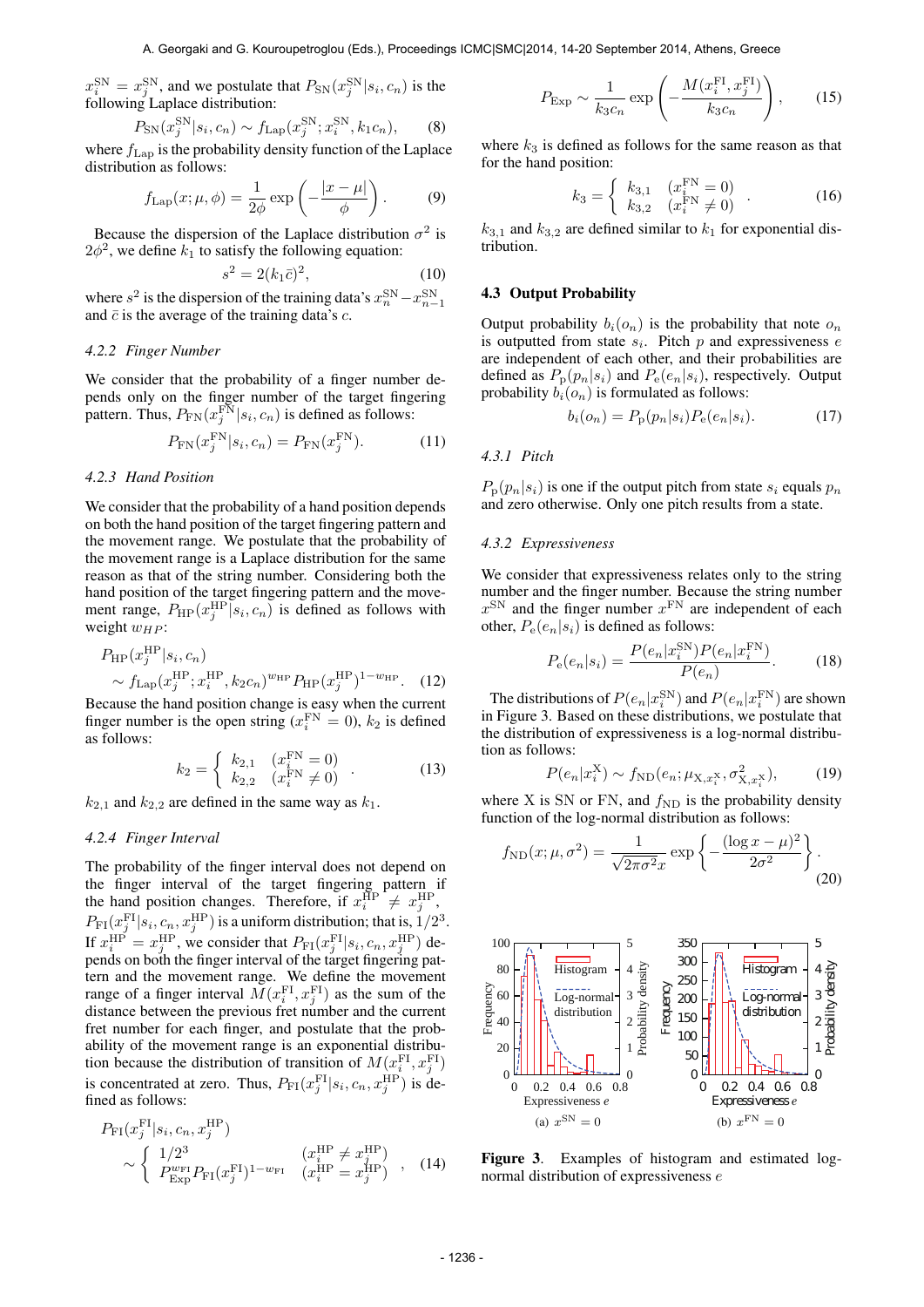$x_i^{\text{SN}} = x_j^{\text{SN}}$ , and we postulate that  $P_{\text{SN}}(x_j^{\text{SN}} | s_i, c_n)$  is the following Laplace distribution:

$$
P_{\rm SN}(x_j^{\rm SN}|s_i, c_n) \sim f_{\rm Lap}(x_j^{\rm SN}; x_i^{\rm SN}, k_1 c_n), \qquad (8)
$$

where  $f_{\text{Lap}}$  is the probability density function of the Laplace distribution as follows:

$$
f_{\text{Lap}}(x;\mu,\phi) = \frac{1}{2\phi} \exp\left(-\frac{|x-\mu|}{\phi}\right). \tag{9}
$$

Because the dispersion of the Laplace distribution  $\sigma^2$  is  $2\phi^2$ , we define  $k_1$  to satisfy the following equation:

$$
s^2 = 2(k_1 \bar{c})^2,\tag{10}
$$

where  $s^2$  is the dispersion of the training data's  $x_n^{\text{SN}} - x_{n-1}^{\text{SN}}$ and  $\bar{c}$  is the average of the training data's  $c$ .

## *4.2.2 Finger Number*

We consider that the probability of a finger number depends only on the finger number of the target fingering pattern. Thus,  $P_{FN}(x_j^{\text{FN}} | s_i, c_n)$  is defined as follows:

$$
P_{\text{FN}}(x_j^{\text{FN}}|s_i, c_n) = P_{\text{FN}}(x_j^{\text{FN}}).
$$
 (11)

#### *4.2.3 Hand Position*

We consider that the probability of a hand position depends on both the hand position of the target fingering pattern and the movement range. We postulate that the probability of the movement range is a Laplace distribution for the same reason as that of the string number. Considering both the hand position of the target fingering pattern and the movement range,  $P_{\text{HP}}(x_j^{\text{HP}}|s_i, c_n)$  is defined as follows with weight  $w_{HP}$ :

$$
P_{\rm HP}(x_j^{\rm HP}|s_i, c_n) \sim f_{\rm Lap}(x_j^{\rm HP}; x_i^{\rm HP}, k_2 c_n)^{w_{\rm HP}} P_{\rm HP}(x_j^{\rm HP})^{1-w_{\rm HP}}.
$$
 (12)

Because the hand position change is easy when the current finger number is the open string  $(x_i^{\text{FN}} = 0)$ ,  $k_2$  is defined as follows:

$$
k_2 = \begin{cases} k_{2,1} & (x_i^{\text{FN}} = 0) \\ k_{2,2} & (x_i^{\text{FN}} \neq 0) \end{cases} .
$$
 (13)

 $k_{2,1}$  and  $k_{2,2}$  are defined in the same way as  $k_1$ .

## *4.2.4 Finger Interval*

The probability of the finger interval does not depend on the finger interval of the target fingering pattern if the hand position changes. Therefore, if  $x_i^{\text{HP}} \neq x_j^{\text{HP}}$ ,  $P_{\text{FI}}(x_j^{\text{FI}}|s_i, c_n, x_j^{\text{HP}})$  is a uniform distribution; that is,  $1/2^3$ . If  $x_i^{\text{HP}} = x_j^{\text{HP}}$ , we consider that  $P_{\text{FI}}(x_j^{\text{FI}}|s_i, c_n, x_j^{\text{HP}})$  depends on both the finger interval of the target fingering pattern and the movement range. We define the movement range of a finger interval  $\overline{M}(x_i^{\text{FI}}, x_j^{\text{FI}})$  as the sum of the distance between the previous fret number and the current fret number for each finger, and postulate that the probability of the movement range is an exponential distribution because the distribution of transition of  $M(x_i^{\text{FI}}, x_j^{\text{FI}})$ is concentrated at zero. Thus,  $P_{FI}(x_j^{FI}|s_i, c_n, x_j^{HP})$  is defined as follows:

$$
P_{\rm FI}(x_j^{\rm FI}|s_i, c_n, x_j^{\rm HP})
$$
  
\n
$$
\sim \begin{cases} 1/2^3 & (x_i^{\rm HP} \neq x_j^{\rm HP}) \\ P_{\rm Exp}^{w_{\rm FI}} P_{\rm FI}(x_j^{\rm FI})^{1-w_{\rm FI}} & (x_i^{\rm HP} = x_j^{\rm HP}) \end{cases}
$$
, (14)

$$
P_{\text{Exp}} \sim \frac{1}{k_3 c_n} \exp\left(-\frac{M(x_i^{\text{FI}}, x_j^{\text{FI}})}{k_3 c_n}\right),\qquad(15)
$$

where  $k_3$  is defined as follows for the same reason as that for the hand position:

$$
k_3 = \begin{cases} k_{3,1} & (x_i^{\text{FN}} = 0) \\ k_{3,2} & (x_i^{\text{FN}} \neq 0) \end{cases} . \tag{16}
$$

 $k_{3,1}$  and  $k_{3,2}$  are defined similar to  $k_1$  for exponential distribution.

## 4.3 Output Probability

Output probability  $b_i(o_n)$  is the probability that note  $o_n$ is outputted from state *s<sup>i</sup>* . Pitch *p* and expressiveness *e* are independent of each other, and their probabilities are defined as  $P_p(p_n|s_i)$  and  $P_e(e_n|s_i)$ , respectively. Output probability  $b_i(o_n)$  is formulated as follows:

$$
b_i(o_n) = P_p(p_n|s_i) P_e(e_n|s_i).
$$
 (17)

## *4.3.1 Pitch*

 $P_p(p_n|s_i)$  is one if the output pitch from state  $s_i$  equals  $p_n$ and zero otherwise. Only one pitch results from a state.

## *4.3.2 Expressiveness*

We consider that expressiveness relates only to the string number and the finger number. Because the string number  $x^{\text{SN}}$  and the finger number  $x^{\text{FN}}$  are independent of each other,  $P_e(e_n|s_i)$  is defined as follows:

$$
P_e(e_n|s_i) = \frac{P(e_n|x_i^{\text{SN}})P(e_n|x_i^{\text{FN}})}{P(e_n)}.
$$
 (18)

The distributions of  $P(e_n|x_i^{\text{SN}})$  and  $P(e_n|x_i^{\text{FN}})$  are shown in Figure 3. Based on these distributions, we postulate that the distribution of expressiveness is a log-normal distribution as follows:

$$
P(e_n|x_i^X) \sim f_{\rm ND}(e_n; \mu_{X, x_i^X}, \sigma^2_{X, x_i^X}), \quad (19)
$$

where X is SN or FN, and  $f_{ND}$  is the probability density function of the log-normal distribution as follows:

$$
f_{\rm ND}(x;\mu,\sigma^2) = \frac{1}{\sqrt{2\pi\sigma^2}x} \exp\left\{-\frac{(\log x - \mu)^2}{2\sigma^2}\right\}.
$$
\n(20)



Figure 3. Examples of histogram and estimated lognormal distribution of expressiveness *e*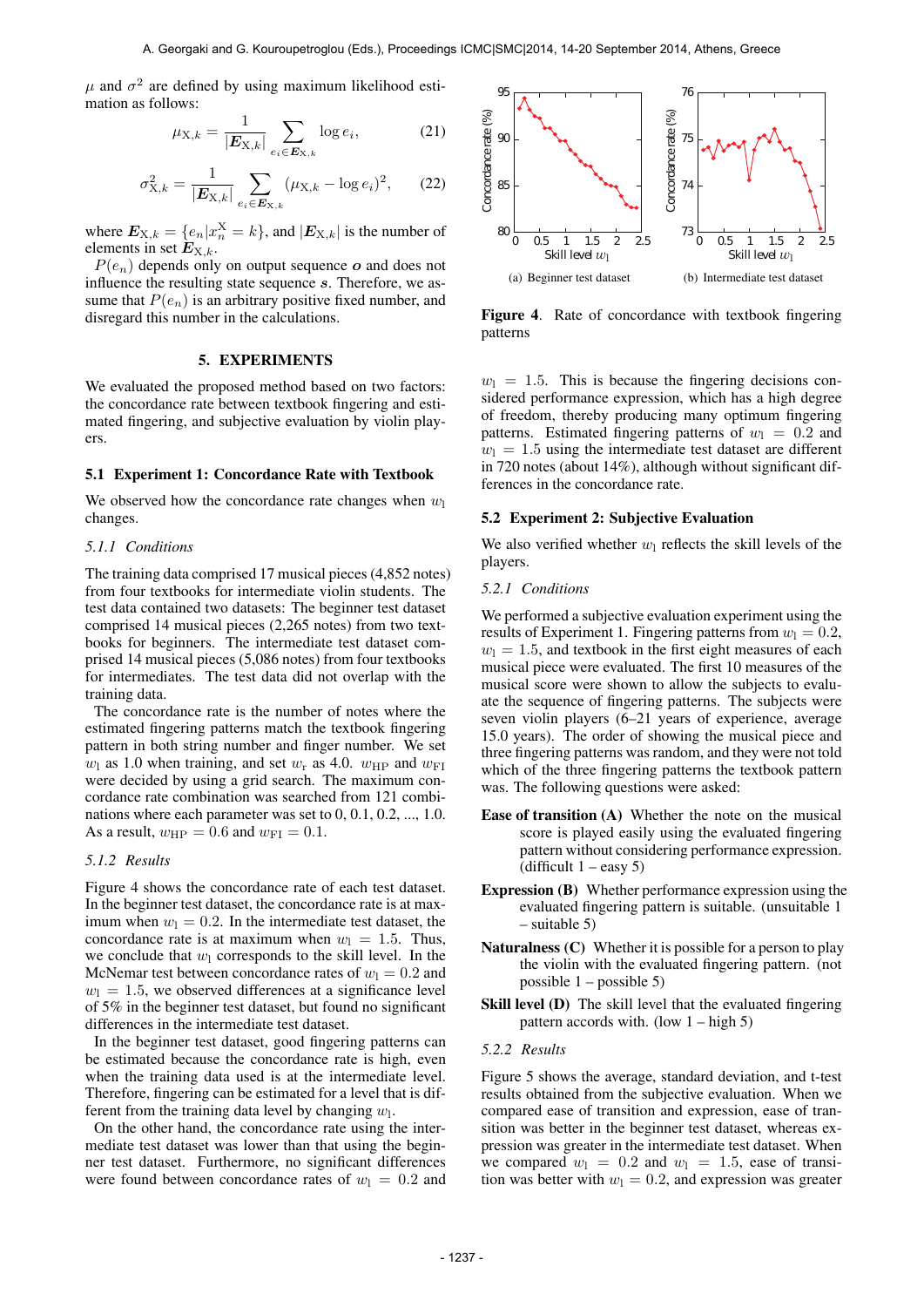$\mu$  and  $\sigma^2$  are defined by using maximum likelihood estimation as follows:

$$
\mu_{X,k} = \frac{1}{|\mathbf{E}_{X,k}|} \sum_{e_i \in \mathbf{E}_{X,k}} \log e_i, \tag{21}
$$

$$
\sigma_{X,k}^2 = \frac{1}{|\mathbf{E}_{X,k}|} \sum_{e_i \in \mathbf{E}_{X,k}} (\mu_{X,k} - \log e_i)^2, \qquad (22)
$$

where  $E_{X,k} = \{e_n | x_n^X = k\}$ , and  $|E_{X,k}|$  is the number of elements in set  $E_{X,k}$ .

*P*(*en*) depends only on output sequence *o* and does not influence the resulting state sequence *s*. Therefore, we assume that  $P(e_n)$  is an arbitrary positive fixed number, and disregard this number in the calculations.

## 5. EXPERIMENTS

We evaluated the proposed method based on two factors: the concordance rate between textbook fingering and estimated fingering, and subjective evaluation by violin players.

## 5.1 Experiment 1: Concordance Rate with Textbook

We observed how the concordance rate changes when  $w_1$ changes.

#### *5.1.1 Conditions*

The training data comprised 17 musical pieces (4,852 notes) from four textbooks for intermediate violin students. The test data contained two datasets: The beginner test dataset comprised 14 musical pieces (2,265 notes) from two textbooks for beginners. The intermediate test dataset comprised 14 musical pieces (5,086 notes) from four textbooks for intermediates. The test data did not overlap with the training data.

The concordance rate is the number of notes where the estimated fingering patterns match the textbook fingering pattern in both string number and finger number. We set  $w_1$  as 1.0 when training, and set  $w_r$  as 4.0.  $w_{HP}$  and  $w_{FI}$ were decided by using a grid search. The maximum concordance rate combination was searched from 121 combinations where each parameter was set to 0, 0.1, 0.2, ..., 1.0. As a result,  $w_{\text{HP}} = 0.6$  and  $w_{\text{FI}} = 0.1$ .

## *5.1.2 Results*

Figure 4 shows the concordance rate of each test dataset. In the beginner test dataset, the concordance rate is at maximum when  $w_1 = 0.2$ . In the intermediate test dataset, the concordance rate is at maximum when  $w_1 = 1.5$ . Thus, we conclude that  $w_1$  corresponds to the skill level. In the McNemar test between concordance rates of  $w_1 = 0.2$  and  $w_1 = 1.5$ , we observed differences at a significance level of 5% in the beginner test dataset, but found no significant differences in the intermediate test dataset.

In the beginner test dataset, good fingering patterns can be estimated because the concordance rate is high, even when the training data used is at the intermediate level. Therefore, fingering can be estimated for a level that is different from the training data level by changing  $w_1$ .

On the other hand, the concordance rate using the intermediate test dataset was lower than that using the beginner test dataset. Furthermore, no significant differences were found between concordance rates of  $w_1 = 0.2$  and



Figure 4. Rate of concordance with textbook fingering patterns

 $w_1 = 1.5$ . This is because the fingering decisions considered performance expression, which has a high degree of freedom, thereby producing many optimum fingering patterns. Estimated fingering patterns of  $w_1 = 0.2$  and  $w_1 = 1.5$  using the intermediate test dataset are different in 720 notes (about 14%), although without significant differences in the concordance rate.

## 5.2 Experiment 2: Subjective Evaluation

We also verified whether  $w_1$  reflects the skill levels of the players.

## *5.2.1 Conditions*

We performed a subjective evaluation experiment using the results of Experiment 1. Fingering patterns from  $w_1 = 0.2$ ,  $w_1 = 1.5$ , and textbook in the first eight measures of each musical piece were evaluated. The first 10 measures of the musical score were shown to allow the subjects to evaluate the sequence of fingering patterns. The subjects were seven violin players (6–21 years of experience, average 15.0 years). The order of showing the musical piece and three fingering patterns was random, and they were not told which of the three fingering patterns the textbook pattern was. The following questions were asked:

- Ease of transition (A) Whether the note on the musical score is played easily using the evaluated fingering pattern without considering performance expression. (difficult  $1 - e$ asy 5)
- Expression (B) Whether performance expression using the evaluated fingering pattern is suitable. (unsuitable 1 – suitable 5)
- Naturalness (C) Whether it is possible for a person to play the violin with the evaluated fingering pattern. (not possible  $1 -$  possible 5)
- Skill level (D) The skill level that the evaluated fingering pattern accords with. (low  $1 - \text{high } 5$ )

### *5.2.2 Results*

Figure 5 shows the average, standard deviation, and t-test results obtained from the subjective evaluation. When we compared ease of transition and expression, ease of transition was better in the beginner test dataset, whereas expression was greater in the intermediate test dataset. When we compared  $w_1 = 0.2$  and  $w_1 = 1.5$ , ease of transition was better with  $w_1 = 0.2$ , and expression was greater